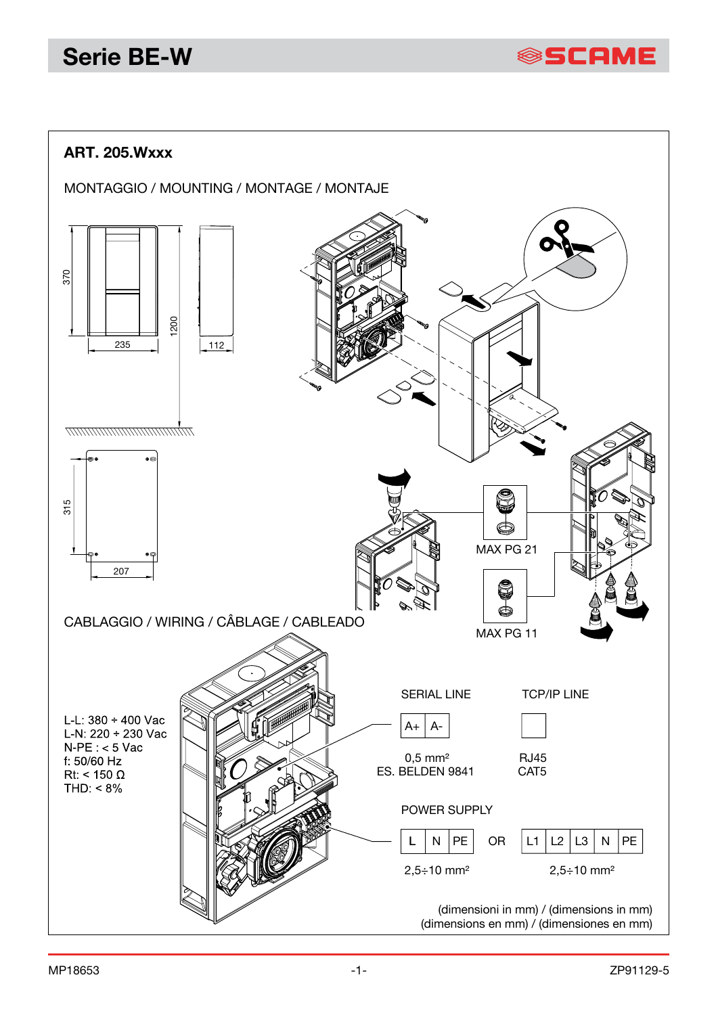# **Serie BE-W**

**SSCAME** 

### **ART. 205.Wxxx**

MONTAGGIO / MOUNTING / MONTAGE / MONTAJE

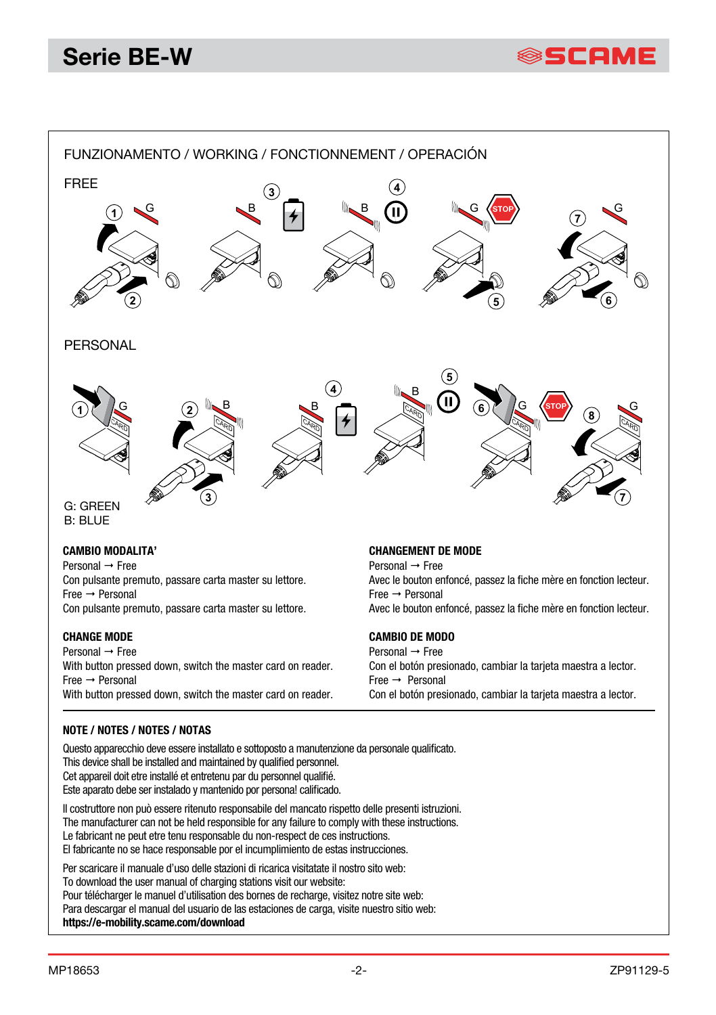



#### **CAMBIO MODALITA'**

Personal  $\rightarrow$  Free Con pulsante premuto, passare carta master su lettore.  $Free \rightarrow Personal$ Con pulsante premuto, passare carta master su lettore.

#### **CHANGE MODE**

Personal  $\rightarrow$  Free With button pressed down, switch the master card on reader. Free Personal With button pressed down, switch the master card on reader.

#### **CHANGEMENT DE MODE**

Personal  $\rightarrow$  Free Avec le bouton enfoncé, passez la fiche mère en fonction lecteur. Free Personal Avec le bouton enfoncé, passez la fiche mère en fonction lecteur.

### **CAMBIO DE MODO**

Personal  $\rightarrow$  Free Con el botón presionado, cambiar la tarjeta maestra a lector.  $Free \rightarrow Personal$ Con el botón presionado, cambiar la tarjeta maestra a lector.

#### **NOTE / NOTES / NOTES / NOTAS**

Questo apparecchio deve essere installato e sottoposto a manutenzione da personale qualificato. This device shall be installed and maintained by qualified personnel. Cet appareil doit etre installé et entretenu par du personnel qualifié. Este aparato debe ser instalado y mantenido por persona! calificado.

Il costruttore non può essere ritenuto responsabile del mancato rispetto delle presenti istruzioni. The manufacturer can not be held responsible for any failure to comply with these instructions. Le fabricant ne peut etre tenu responsable du non-respect de ces instructions. El fabricante no se hace responsable por el incumplimiento de estas instrucciones.

Per scaricare il manuale d'uso delle stazioni di ricarica visitatate il nostro sito web: To download the user manual of charging stations visit our website: Pour télécharger le manuel d'utilisation des bornes de recharge, visitez notre site web: Para descargar el manual del usuario de las estaciones de carga, visite nuestro sitio web: **https://e-mobility.scame.com/download**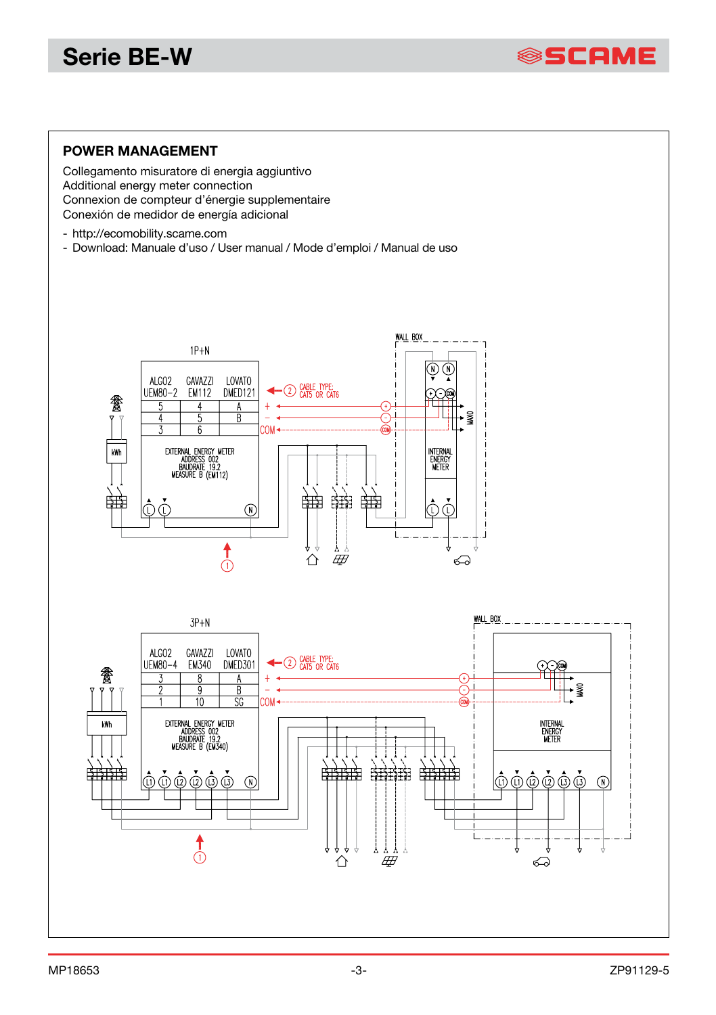# **Serie BE-W**



### **POWER MANAGEMENT**

Collegamento misuratore di energia aggiuntivo Additional energy meter connection Connexion de compteur d'énergie supplementaire Conexión de medidor de energía adicional

- http://ecomobility.scame.com
- Download: Manuale d'uso / User manual / Mode d'emploi / Manual de uso